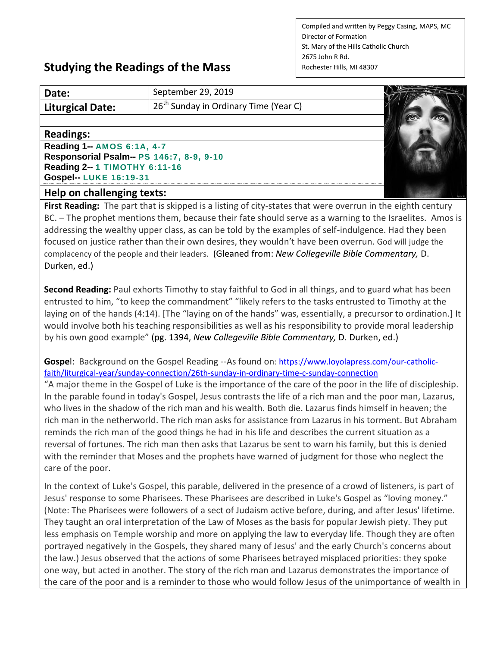Compiled and written by Peggy Casing, MAPS, MC Director of Formation St. Mary of the Hills Catholic Church 2675 John R Rd. Rochester Hills, MI 48307

## **Studying the Readings of the Mass**

| Date:                                    | September 29, 2019                                |  |
|------------------------------------------|---------------------------------------------------|--|
| <b>Liturgical Date:</b>                  | 26 <sup>th</sup> Sunday in Ordinary Time (Year C) |  |
|                                          |                                                   |  |
| <b>Readings:</b>                         |                                                   |  |
| Reading 1-- AMOS 6:1A, 4-7               |                                                   |  |
| Responsorial Psalm-- PS 146:7, 8-9, 9-10 |                                                   |  |
| Reading 2-- 1 TIMOTHY 6:11-16            |                                                   |  |
| Gospel-- LUKE 16:19-31                   |                                                   |  |
| Holn on challonging toyte:               |                                                   |  |

## **Help on challenging texts:**

**First Reading:** The part that is skipped is a listing of city-states that were overrun in the eighth century BC. – The prophet mentions them, because their fate should serve as a warning to the Israelites. Amos is addressing the wealthy upper class, as can be told by the examples of self-indulgence. Had they been focused on justice rather than their own desires, they wouldn't have been overrun. God will judge the complacency of the people and their leaders. (Gleaned from: *New Collegeville Bible Commentary,* D. Durken, ed.)

**Second Reading:** Paul exhorts Timothy to stay faithful to God in all things, and to guard what has been entrusted to him, "to keep the commandment" "likely refers to the tasks entrusted to Timothy at the laying on of the hands (4:14). [The "laying on of the hands" was, essentially, a precursor to ordination.] It would involve both his teaching responsibilities as well as his responsibility to provide moral leadership by his own good example" (pg. 1394, *New Collegeville Bible Commentary,* D. Durken, ed.)

**Gospe**l: Background on the Gospel Reading --As found on[: https://www.loyolapress.com/our-catholic](https://www.loyolapress.com/our-catholic-faith/liturgical-year/sunday-connection/26th-sunday-in-ordinary-time-c-sunday-connection)[faith/liturgical-year/sunday-connection/26th-sunday-in-ordinary-time-c-sunday-connection](https://www.loyolapress.com/our-catholic-faith/liturgical-year/sunday-connection/26th-sunday-in-ordinary-time-c-sunday-connection)

"A major theme in the Gospel of Luke is the importance of the care of the poor in the life of discipleship. In the parable found in today's Gospel, Jesus contrasts the life of a rich man and the poor man, Lazarus, who lives in the shadow of the rich man and his wealth. Both die. Lazarus finds himself in heaven; the rich man in the netherworld. The rich man asks for assistance from Lazarus in his torment. But Abraham reminds the rich man of the good things he had in his life and describes the current situation as a reversal of fortunes. The rich man then asks that Lazarus be sent to warn his family, but this is denied with the reminder that Moses and the prophets have warned of judgment for those who neglect the care of the poor.

In the context of Luke's Gospel, this parable, delivered in the presence of a crowd of listeners, is part of Jesus' response to some Pharisees. These Pharisees are described in Luke's Gospel as "loving money." (Note: The Pharisees were followers of a sect of Judaism active before, during, and after Jesus' lifetime. They taught an oral interpretation of the Law of Moses as the basis for popular Jewish piety. They put less emphasis on Temple worship and more on applying the law to everyday life. Though they are often portrayed negatively in the Gospels, they shared many of Jesus' and the early Church's concerns about the law.) Jesus observed that the actions of some Pharisees betrayed misplaced priorities: they spoke one way, but acted in another. The story of the rich man and Lazarus demonstrates the importance of the care of the poor and is a reminder to those who would follow Jesus of the unimportance of wealth in